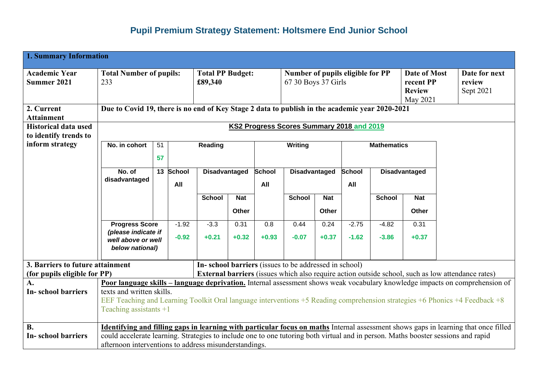## **Pupil Premium Strategy Statement: Holtsmere End Junior School**

| <b>1. Summary Information</b>                        |                                                                                                                                   |                            |                                    |                                       |            |                                                         |                                                       |              |                      |                                                               |            |                                      |                                                                                                                                     |  |
|------------------------------------------------------|-----------------------------------------------------------------------------------------------------------------------------------|----------------------------|------------------------------------|---------------------------------------|------------|---------------------------------------------------------|-------------------------------------------------------|--------------|----------------------|---------------------------------------------------------------|------------|--------------------------------------|-------------------------------------------------------------------------------------------------------------------------------------|--|
| <b>Academic Year</b><br><b>Summer 2021</b>           | <b>Total Number of pupils:</b><br>233                                                                                             |                            | <b>Total PP Budget:</b><br>£89,340 |                                       |            | Number of pupils eligible for PP<br>67 30 Boys 37 Girls |                                                       |              |                      | <b>Date of Most</b><br>recent PP<br><b>Review</b><br>May 2021 |            | Date for next<br>review<br>Sept 2021 |                                                                                                                                     |  |
| 2. Current<br><b>Attainment</b>                      | Due to Covid 19, there is no end of Key Stage 2 data to publish in the academic year 2020-2021                                    |                            |                                    |                                       |            |                                                         |                                                       |              |                      |                                                               |            |                                      |                                                                                                                                     |  |
| <b>Historical data used</b><br>to identify trends to |                                                                                                                                   |                            |                                    |                                       |            |                                                         | KS2 Progress Scores Summary 2018 and 2019             |              |                      |                                                               |            |                                      |                                                                                                                                     |  |
| inform strategy                                      | No. in cohort                                                                                                                     | 51                         |                                    |                                       | Reading    |                                                         | Writing                                               |              |                      | <b>Mathematics</b>                                            |            |                                      |                                                                                                                                     |  |
|                                                      |                                                                                                                                   | 57                         |                                    |                                       |            |                                                         |                                                       |              |                      |                                                               |            |                                      |                                                                                                                                     |  |
|                                                      | disadvantaged                                                                                                                     | 13 School<br>No. of<br>All |                                    | <b>School</b><br><b>Disadvantaged</b> |            | All                                                     | <b>Disadvantaged</b>                                  |              | <b>School</b><br>All | <b>Disadvantaged</b>                                          |            |                                      |                                                                                                                                     |  |
|                                                      |                                                                                                                                   |                            |                                    | <b>School</b>                         | <b>Nat</b> |                                                         | <b>School</b>                                         | <b>Nat</b>   |                      | <b>School</b>                                                 | <b>Nat</b> |                                      |                                                                                                                                     |  |
|                                                      |                                                                                                                                   |                            |                                    |                                       | Other      |                                                         |                                                       | <b>Other</b> |                      |                                                               | Other      |                                      |                                                                                                                                     |  |
|                                                      | <b>Progress Score</b>                                                                                                             |                            | $-1.92$                            | $-3.3$                                | 0.31       | 0.8                                                     | 0.44                                                  | 0.24         | $-2.75$              | $-4.82$                                                       | 0.31       |                                      |                                                                                                                                     |  |
|                                                      | (please indicate if<br>$-0.92$<br>well above or well<br>below national)                                                           |                            | $+0.21$                            | $+0.32$                               | $+0.93$    | $-0.07$                                                 | $+0.37$                                               | $-1.62$      | $-3.86$              | $+0.37$                                                       |            |                                      |                                                                                                                                     |  |
| 3. Barriers to future attainment                     |                                                                                                                                   |                            |                                    |                                       |            |                                                         | In-school barriers (issues to be addressed in school) |              |                      |                                                               |            |                                      |                                                                                                                                     |  |
| (for pupils eligible for PP)                         |                                                                                                                                   |                            |                                    |                                       |            |                                                         |                                                       |              |                      |                                                               |            |                                      | External barriers (issues which also require action outside school, such as low attendance rates)                                   |  |
| A.<br><b>In-school barriers</b>                      | texts and written skills.                                                                                                         |                            |                                    |                                       |            |                                                         |                                                       |              |                      |                                                               |            |                                      | <b>Poor language skills – language deprivation.</b> Internal assessment shows weak vocabulary knowledge impacts on comprehension of |  |
|                                                      | EEF Teaching and Learning Toolkit Oral language interventions +5 Reading comprehension strategies +6 Phonics +4 Feedback +8       |                            |                                    |                                       |            |                                                         |                                                       |              |                      |                                                               |            |                                      |                                                                                                                                     |  |
|                                                      | Teaching assistants $+1$                                                                                                          |                            |                                    |                                       |            |                                                         |                                                       |              |                      |                                                               |            |                                      |                                                                                                                                     |  |
| <b>B.</b>                                            |                                                                                                                                   |                            |                                    |                                       |            |                                                         |                                                       |              |                      |                                                               |            |                                      | Identifying and filling gaps in learning with particular focus on maths Internal assessment shows gaps in learning that once filled |  |
| <b>In-school barriers</b>                            | could accelerate learning. Strategies to include one to one tutoring both virtual and in person. Maths booster sessions and rapid |                            |                                    |                                       |            |                                                         |                                                       |              |                      |                                                               |            |                                      |                                                                                                                                     |  |
|                                                      | afternoon interventions to address misunderstandings.                                                                             |                            |                                    |                                       |            |                                                         |                                                       |              |                      |                                                               |            |                                      |                                                                                                                                     |  |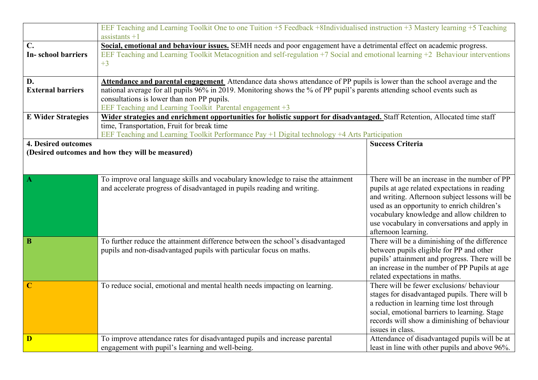|                            | EEF Teaching and Learning Toolkit One to one Tuition +5 Feedback +8Individualised instruction +3 Mastery learning +5 Teaching<br>assistants $+1$ |                                                |  |  |  |  |  |  |
|----------------------------|--------------------------------------------------------------------------------------------------------------------------------------------------|------------------------------------------------|--|--|--|--|--|--|
| $C_{\bullet}$              | Social, emotional and behaviour issues. SEMH needs and poor engagement have a detrimental effect on academic progress.                           |                                                |  |  |  |  |  |  |
| <b>In-school barriers</b>  | EEF Teaching and Learning Toolkit Metacognition and self-regulation +7 Social and emotional learning +2 Behaviour interventions                  |                                                |  |  |  |  |  |  |
|                            | $+3$                                                                                                                                             |                                                |  |  |  |  |  |  |
|                            |                                                                                                                                                  |                                                |  |  |  |  |  |  |
| D.                         | Attendance and parental engagement Attendance data shows attendance of PP pupils is lower than the school average and the                        |                                                |  |  |  |  |  |  |
| <b>External barriers</b>   | national average for all pupils 96% in 2019. Monitoring shows the % of PP pupil's parents attending school events such as                        |                                                |  |  |  |  |  |  |
|                            | consultations is lower than non PP pupils.                                                                                                       |                                                |  |  |  |  |  |  |
|                            | EEF Teaching and Learning Toolkit Parental engagement +3                                                                                         |                                                |  |  |  |  |  |  |
| <b>E</b> Wider Strategies  | Wider strategies and enrichment opportunities for holistic support for disadvantaged. Staff Retention, Allocated time staff                      |                                                |  |  |  |  |  |  |
|                            | time, Transportation, Fruit for break time                                                                                                       |                                                |  |  |  |  |  |  |
|                            |                                                                                                                                                  |                                                |  |  |  |  |  |  |
|                            | EEF Teaching and Learning Toolkit Performance Pay +1 Digital technology +4 Arts Participation                                                    |                                                |  |  |  |  |  |  |
| <b>4. Desired outcomes</b> |                                                                                                                                                  | <b>Success Criteria</b>                        |  |  |  |  |  |  |
|                            | (Desired outcomes and how they will be measured)                                                                                                 |                                                |  |  |  |  |  |  |
|                            |                                                                                                                                                  |                                                |  |  |  |  |  |  |
|                            |                                                                                                                                                  |                                                |  |  |  |  |  |  |
| $\mathbf{A}$               | To improve oral language skills and vocabulary knowledge to raise the attainment                                                                 | There will be an increase in the number of PP  |  |  |  |  |  |  |
|                            | and accelerate progress of disadvantaged in pupils reading and writing.                                                                          | pupils at age related expectations in reading  |  |  |  |  |  |  |
|                            |                                                                                                                                                  | and writing. Afternoon subject lessons will be |  |  |  |  |  |  |
|                            |                                                                                                                                                  | used as an opportunity to enrich children's    |  |  |  |  |  |  |
|                            |                                                                                                                                                  | vocabulary knowledge and allow children to     |  |  |  |  |  |  |
|                            |                                                                                                                                                  | use vocabulary in conversations and apply in   |  |  |  |  |  |  |
|                            |                                                                                                                                                  | afternoon learning.                            |  |  |  |  |  |  |
| $\bf{B}$                   | To further reduce the attainment difference between the school's disadvantaged                                                                   | There will be a diminishing of the difference  |  |  |  |  |  |  |
|                            | pupils and non-disadvantaged pupils with particular focus on maths.                                                                              | between pupils eligible for PP and other       |  |  |  |  |  |  |
|                            |                                                                                                                                                  | pupils' attainment and progress. There will be |  |  |  |  |  |  |
|                            |                                                                                                                                                  | an increase in the number of PP Pupils at age  |  |  |  |  |  |  |
|                            |                                                                                                                                                  | related expectations in maths.                 |  |  |  |  |  |  |
| $\mathbf C$                | To reduce social, emotional and mental health needs impacting on learning.                                                                       | There will be fewer exclusions/ behaviour      |  |  |  |  |  |  |
|                            |                                                                                                                                                  | stages for disadvantaged pupils. There will b  |  |  |  |  |  |  |
|                            |                                                                                                                                                  | a reduction in learning time lost through      |  |  |  |  |  |  |
|                            |                                                                                                                                                  | social, emotional barriers to learning. Stage  |  |  |  |  |  |  |
|                            |                                                                                                                                                  | records will show a diminishing of behaviour   |  |  |  |  |  |  |
|                            |                                                                                                                                                  | issues in class.                               |  |  |  |  |  |  |
|                            |                                                                                                                                                  |                                                |  |  |  |  |  |  |
| D                          | To improve attendance rates for disadvantaged pupils and increase parental                                                                       | Attendance of disadvantaged pupils will be at  |  |  |  |  |  |  |
|                            | engagement with pupil's learning and well-being.                                                                                                 | least in line with other pupils and above 96%. |  |  |  |  |  |  |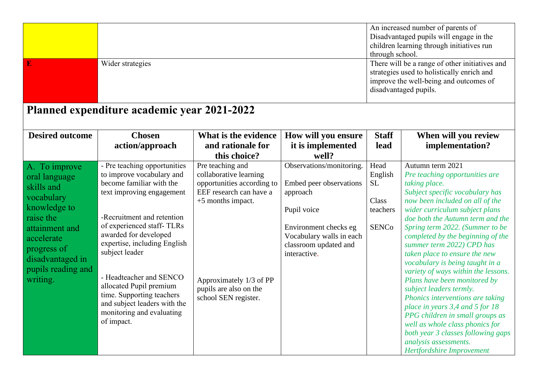| $\bf{E}$                                                                                                                                                                                     | Wider strategies                                                                                                                                                                                                                                                                                                                                                                                                       |                                                                                                                                                                                                       |                                                                                                                                                                              | through school.                                                   | An increased number of parents of<br>Disadvantaged pupils will engage in the<br>children learning through initiatives run<br>There will be a range of other initiatives and<br>strategies used to holistically enrich and<br>improve the well-being and outcomes of<br>disadvantaged pupils.                                                                                                                                                                                                                                                                                                                                                                                                                                        |
|----------------------------------------------------------------------------------------------------------------------------------------------------------------------------------------------|------------------------------------------------------------------------------------------------------------------------------------------------------------------------------------------------------------------------------------------------------------------------------------------------------------------------------------------------------------------------------------------------------------------------|-------------------------------------------------------------------------------------------------------------------------------------------------------------------------------------------------------|------------------------------------------------------------------------------------------------------------------------------------------------------------------------------|-------------------------------------------------------------------|-------------------------------------------------------------------------------------------------------------------------------------------------------------------------------------------------------------------------------------------------------------------------------------------------------------------------------------------------------------------------------------------------------------------------------------------------------------------------------------------------------------------------------------------------------------------------------------------------------------------------------------------------------------------------------------------------------------------------------------|
|                                                                                                                                                                                              | Planned expenditure academic year 2021-2022                                                                                                                                                                                                                                                                                                                                                                            |                                                                                                                                                                                                       |                                                                                                                                                                              |                                                                   |                                                                                                                                                                                                                                                                                                                                                                                                                                                                                                                                                                                                                                                                                                                                     |
| <b>Desired outcome</b>                                                                                                                                                                       | <b>Chosen</b><br>action/approach                                                                                                                                                                                                                                                                                                                                                                                       | What is the evidence<br>and rationale for<br>this choice?                                                                                                                                             | How will you ensure<br>it is implemented<br>well?                                                                                                                            | <b>Staff</b><br>lead                                              | When will you review<br>implementation?                                                                                                                                                                                                                                                                                                                                                                                                                                                                                                                                                                                                                                                                                             |
| A. To improve<br>oral language<br>skills and<br>vocabulary<br>knowledge to<br>raise the<br>attainment and<br>accelerate<br>progress of<br>disadvantaged in<br>pupils reading and<br>writing. | - Pre teaching opportunities<br>to improve vocabulary and<br>become familiar with the<br>text improving engagement<br>-Recruitment and retention<br>of experienced staff-TLRs<br>awarded for developed<br>expertise, including English<br>subject leader<br>- Headteacher and SENCO<br>allocated Pupil premium<br>time. Supporting teachers<br>and subject leaders with the<br>monitoring and evaluating<br>of impact. | Pre teaching and<br>collaborative learning<br>opportunities according to<br>EEF research can have a<br>+5 months impact.<br>Approximately 1/3 of PP<br>pupils are also on the<br>school SEN register. | Observations/monitoring.<br>Embed peer observations<br>approach<br>Pupil voice<br>Environment checks eg<br>Vocabulary walls in each<br>classroom updated and<br>interactive. | Head<br>English<br><b>SL</b><br>Class<br>teachers<br><b>SENCo</b> | Autumn term 2021<br>Pre teaching opportunities are<br>taking place.<br>Subject specific vocabulary has<br>now been included on all of the<br>wider curriculum subject plans<br>doe both the Autumn term and the<br>Spring term 2022. (Summer to be<br>completed by the beginning of the<br>summer term 2022) CPD has<br>taken place to ensure the new<br>vocabulary is being taught in a<br>variety of ways within the lessons.<br>Plans have been monitored by<br>subject leaders termly.<br>Phonics interventions are taking<br>place in years 3,4 and 5 for 18<br>PPG children in small groups as<br>well as whole class phonics for<br>both year 3 classes following gaps<br>analysis assessments.<br>Hertfordshire Improvement |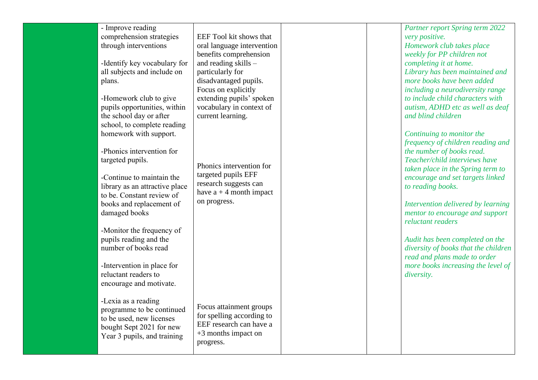| - Improve reading              |                            |  | Partner report Spring term 2022      |
|--------------------------------|----------------------------|--|--------------------------------------|
| comprehension strategies       | EEF Tool kit shows that    |  | very positive.                       |
| through interventions          | oral language intervention |  | Homework club takes place            |
|                                | benefits comprehension     |  | weekly for PP children not           |
| -Identify key vocabulary for   | and reading skills -       |  | completing it at home.               |
| all subjects and include on    | particularly for           |  | Library has been maintained and      |
| plans.                         | disadvantaged pupils.      |  | more books have been added           |
|                                | Focus on explicitly        |  | including a neurodiversity range     |
| -Homework club to give         | extending pupils' spoken   |  | to include child characters with     |
| pupils opportunities, within   | vocabulary in context of   |  | autism, ADHD etc as well as deaf     |
| the school day or after        | current learning.          |  | and blind children                   |
| school, to complete reading    |                            |  |                                      |
| homework with support.         |                            |  | Continuing to monitor the            |
|                                |                            |  | frequency of children reading and    |
| -Phonics intervention for      |                            |  | the number of books read.            |
| targeted pupils.               |                            |  | Teacher/child interviews have        |
|                                | Phonics intervention for   |  | taken place in the Spring term to    |
| -Continue to maintain the      | targeted pupils EFF        |  | encourage and set targets linked     |
| library as an attractive place | research suggests can      |  | to reading books.                    |
| to be. Constant review of      | have $a + 4$ month impact  |  |                                      |
| books and replacement of       | on progress.               |  | Intervention delivered by learning   |
| damaged books                  |                            |  | mentor to encourage and support      |
|                                |                            |  | reluctant readers                    |
| -Monitor the frequency of      |                            |  |                                      |
| pupils reading and the         |                            |  | Audit has been completed on the      |
| number of books read           |                            |  | diversity of books that the children |
|                                |                            |  | read and plans made to order         |
| -Intervention in place for     |                            |  | more books increasing the level of   |
| reluctant readers to           |                            |  | diversity.                           |
| encourage and motivate.        |                            |  |                                      |
|                                |                            |  |                                      |
| -Lexia as a reading            |                            |  |                                      |
| programme to be continued      | Focus attainment groups    |  |                                      |
| to be used, new licenses       | for spelling according to  |  |                                      |
| bought Sept 2021 for new       | EEF research can have a    |  |                                      |
| Year 3 pupils, and training    | $+3$ months impact on      |  |                                      |
|                                | progress.                  |  |                                      |
|                                |                            |  |                                      |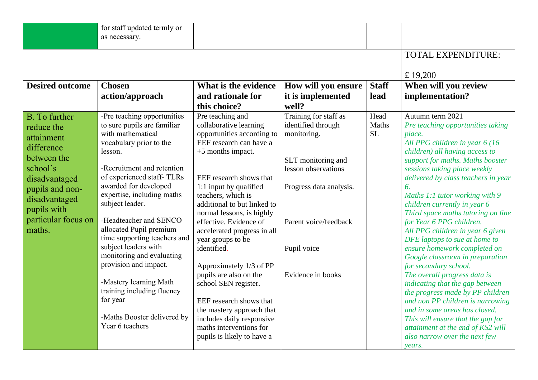|                        | for staff updated termly or<br>as necessary.  |                                                     |                         |              |                                                                |
|------------------------|-----------------------------------------------|-----------------------------------------------------|-------------------------|--------------|----------------------------------------------------------------|
|                        |                                               |                                                     |                         |              | TOTAL EXPENDITURE:                                             |
|                        |                                               |                                                     |                         |              | £19,200                                                        |
| <b>Desired outcome</b> | <b>Chosen</b>                                 | What is the evidence                                | How will you ensure     | <b>Staff</b> | When will you review                                           |
|                        | action/approach                               | and rationale for                                   | it is implemented       | lead         | implementation?                                                |
|                        |                                               | this choice?                                        | well?                   |              |                                                                |
| <b>B.</b> To further   | -Pre teaching opportunities                   | Pre teaching and                                    | Training for staff as   | Head         | Autumn term $2021$                                             |
| reduce the             | to sure pupils are familiar                   | collaborative learning                              | identified through      | Maths        | Pre teaching opportunities taking                              |
| attainment             | with mathematical                             | opportunities according to                          | monitoring.             | <b>SL</b>    | place.                                                         |
| difference             | vocabulary prior to the                       | EEF research can have a                             |                         |              | All PPG children in year 6 (16                                 |
| between the            | lesson.                                       | $+5$ months impact.                                 |                         |              | children) all having access to                                 |
|                        |                                               |                                                     | SLT monitoring and      |              | support for maths. Maths booster                               |
| school's               | -Recruitment and retention                    |                                                     | lesson observations     |              | sessions taking place weekly                                   |
| disadvantaged          | of experienced staff-TLRs                     | EEF research shows that                             |                         |              | delivered by class teachers in year                            |
| pupils and non-        | awarded for developed                         | 1:1 input by qualified                              | Progress data analysis. |              | 6.                                                             |
| disadvantaged          | expertise, including maths<br>subject leader. | teachers, which is                                  |                         |              | Maths 1:1 tutor working with 9                                 |
| pupils with            |                                               | additional to but linked to                         |                         |              | children currently in year 6                                   |
| particular focus on    | -Headteacher and SENCO                        | normal lessons, is highly<br>effective. Evidence of | Parent voice/feedback   |              | Third space maths tutoring on line<br>for Year 6 PPG children. |
| maths.                 | allocated Pupil premium                       |                                                     |                         |              | All PPG children in year 6 given                               |
|                        | time supporting teachers and                  | accelerated progress in all<br>year groups to be    |                         |              | DFE laptops to sue at home to                                  |
|                        | subject leaders with                          | identified.                                         | Pupil voice             |              | ensure homework completed on                                   |
|                        | monitoring and evaluating                     |                                                     |                         |              | Google classroom in preparation                                |
|                        | provision and impact.                         | Approximately 1/3 of PP                             |                         |              | for secondary school.                                          |
|                        |                                               | pupils are also on the                              | Evidence in books       |              | The overall progress data is                                   |
|                        | -Mastery learning Math                        | school SEN register.                                |                         |              | indicating that the gap between                                |
|                        | training including fluency                    |                                                     |                         |              | the progress made by PP children                               |
|                        | for year                                      | EEF research shows that                             |                         |              | and non PP children is narrowing                               |
|                        |                                               | the mastery approach that                           |                         |              | and in some areas has closed.                                  |
|                        | -Maths Booster delivered by                   | includes daily responsive                           |                         |              | This will ensure that the gap for                              |
|                        | Year 6 teachers                               | maths interventions for                             |                         |              | attainment at the end of KS2 will                              |
|                        |                                               | pupils is likely to have a                          |                         |              | also narrow over the next few                                  |
|                        |                                               |                                                     |                         |              | years.                                                         |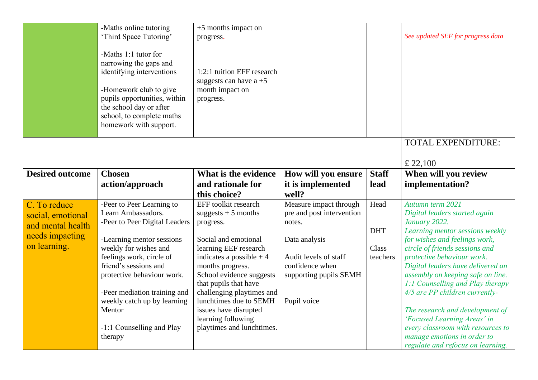|                                                        | -Maths online tutoring<br>'Third Space Tutoring'<br>-Maths 1:1 tutor for<br>narrowing the gaps and<br>identifying interventions<br>-Homework club to give<br>pupils opportunities, within<br>the school day or after<br>school, to complete maths<br>homework with support. | $+5$ months impact on<br>progress.<br>1:2:1 tuition EFF research<br>suggests can have $a + 5$<br>month impact on<br>progress.                                                                                                                                                          |                                                                                                    |                    | See updated SEF for progress data                                                                                                                                                                                                                                                                                                                    |
|--------------------------------------------------------|-----------------------------------------------------------------------------------------------------------------------------------------------------------------------------------------------------------------------------------------------------------------------------|----------------------------------------------------------------------------------------------------------------------------------------------------------------------------------------------------------------------------------------------------------------------------------------|----------------------------------------------------------------------------------------------------|--------------------|------------------------------------------------------------------------------------------------------------------------------------------------------------------------------------------------------------------------------------------------------------------------------------------------------------------------------------------------------|
|                                                        |                                                                                                                                                                                                                                                                             |                                                                                                                                                                                                                                                                                        |                                                                                                    |                    | TOTAL EXPENDITURE:<br>£ 22,100                                                                                                                                                                                                                                                                                                                       |
| <b>Desired outcome</b>                                 | <b>Chosen</b>                                                                                                                                                                                                                                                               | What is the evidence                                                                                                                                                                                                                                                                   | How will you ensure                                                                                | <b>Staff</b>       | When will you review                                                                                                                                                                                                                                                                                                                                 |
|                                                        | action/approach                                                                                                                                                                                                                                                             | and rationale for<br>this choice?                                                                                                                                                                                                                                                      | it is implemented<br>well?                                                                         | lead               | implementation?                                                                                                                                                                                                                                                                                                                                      |
| C. To reduce<br>social, emotional<br>and mental health | -Peer to Peer Learning to<br>Learn Ambassadors.<br>-Peer to Peer Digital Leaders                                                                                                                                                                                            | EFF toolkit research<br>suggests $+5$ months<br>progress.                                                                                                                                                                                                                              | Measure impact through<br>pre and post intervention<br>notes.                                      | Head<br><b>DHT</b> | Autumn term 2021<br>Digital leaders started again<br>January 2022.<br>Learning mentor sessions weekly                                                                                                                                                                                                                                                |
| needs impacting<br>on learning.                        | -Learning mentor sessions<br>weekly for wishes and<br>feelings work, circle of<br>friend's sessions and<br>protective behaviour work.<br>-Peer mediation training and<br>weekly catch up by learning<br>Mentor<br>-1:1 Counselling and Play                                 | Social and emotional<br>learning EEF research<br>indicates a possible $+4$<br>months progress.<br>School evidence suggests<br>that pupils that have<br>challenging playtimes and<br>lunchtimes due to SEMH<br>issues have disrupted<br>learning following<br>playtimes and lunchtimes. | Data analysis<br>Audit levels of staff<br>confidence when<br>supporting pupils SEMH<br>Pupil voice | Class<br>teachers  | for wishes and feelings work,<br>circle of friends sessions and<br>protective behaviour work.<br>Digital leaders have delivered an<br>assembly on keeping safe on line.<br>1:1 Counselling and Play therapy<br>4/5 are PP children currently-<br>The research and development of<br>'Focused Learning Areas' in<br>every classroom with resources to |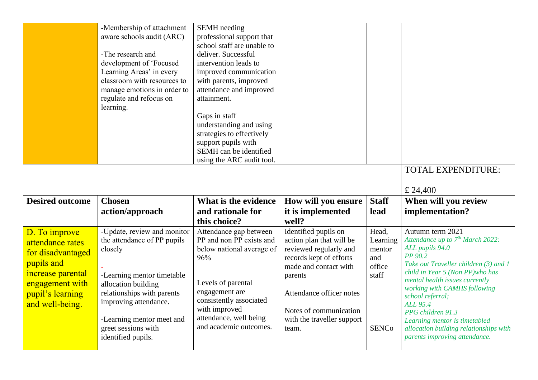|                        | -Membership of attachment<br>aware schools audit (ARC)<br>-The research and<br>development of 'Focused | <b>SEMH</b> needing<br>professional support that<br>school staff are unable to<br>deliver. Successful<br>intervention leads to |                            |              |                                                                          |
|------------------------|--------------------------------------------------------------------------------------------------------|--------------------------------------------------------------------------------------------------------------------------------|----------------------------|--------------|--------------------------------------------------------------------------|
|                        | Learning Areas' in every                                                                               | improved communication                                                                                                         |                            |              |                                                                          |
|                        | classroom with resources to                                                                            | with parents, improved                                                                                                         |                            |              |                                                                          |
|                        | manage emotions in order to                                                                            | attendance and improved                                                                                                        |                            |              |                                                                          |
|                        | regulate and refocus on<br>learning.                                                                   | attainment.                                                                                                                    |                            |              |                                                                          |
|                        |                                                                                                        | Gaps in staff                                                                                                                  |                            |              |                                                                          |
|                        |                                                                                                        | understanding and using                                                                                                        |                            |              |                                                                          |
|                        |                                                                                                        | strategies to effectively                                                                                                      |                            |              |                                                                          |
|                        |                                                                                                        | support pupils with                                                                                                            |                            |              |                                                                          |
|                        |                                                                                                        | SEMH can be identified                                                                                                         |                            |              |                                                                          |
|                        |                                                                                                        | using the ARC audit tool.                                                                                                      |                            |              |                                                                          |
|                        |                                                                                                        |                                                                                                                                |                            |              | <b>TOTAL EXPENDITURE:</b>                                                |
|                        |                                                                                                        |                                                                                                                                |                            |              |                                                                          |
|                        |                                                                                                        |                                                                                                                                |                            |              | £ 24,400                                                                 |
| <b>Desired outcome</b> | <b>Chosen</b>                                                                                          | What is the evidence                                                                                                           | How will you ensure        | <b>Staff</b> | When will you review                                                     |
|                        | action/approach                                                                                        | and rationale for                                                                                                              | it is implemented          | lead         | implementation?                                                          |
|                        |                                                                                                        | this choice?                                                                                                                   | well?                      |              |                                                                          |
| D. To improve          | -Update, review and monitor                                                                            | Attendance gap between                                                                                                         | Identified pupils on       | Head,        | Autumn term 2021                                                         |
| attendance rates       | the attendance of PP pupils                                                                            | PP and non PP exists and                                                                                                       | action plan that will be   | Learning     | Attendance up to $7th March 2022$ :                                      |
|                        | closely                                                                                                | below national average of                                                                                                      | reviewed regularly and     | mentor       | ALL pupils 94.0                                                          |
| for disadvantaged      |                                                                                                        | 96%                                                                                                                            | records kept of efforts    | and          | PP 90.2                                                                  |
| pupils and             |                                                                                                        |                                                                                                                                | made and contact with      | office       | Take out Traveller children (3) and 1<br>child in Year 5 (Non PP)who has |
| increase parental      | -Learning mentor timetable                                                                             |                                                                                                                                | parents                    | staff        | mental health issues currently                                           |
| engagement with        | allocation building                                                                                    | Levels of parental<br>engagement are                                                                                           |                            |              | working with CAMHS following                                             |
| pupil's learning       | relationships with parents<br>improving attendance.                                                    | consistently associated                                                                                                        | Attendance officer notes   |              | school referral;                                                         |
| and well-being.        |                                                                                                        | with improved                                                                                                                  | Notes of communication     |              | <b>ALL 95.4</b><br>PPG children 91.3                                     |
|                        | -Learning mentor meet and                                                                              | attendance, well being                                                                                                         | with the traveller support |              | Learning mentor is timetabled                                            |
|                        | greet sessions with<br>identified pupils.                                                              | and academic outcomes.                                                                                                         | team.                      | <b>SENCo</b> | allocation building relationships with<br>parents improving attendance.  |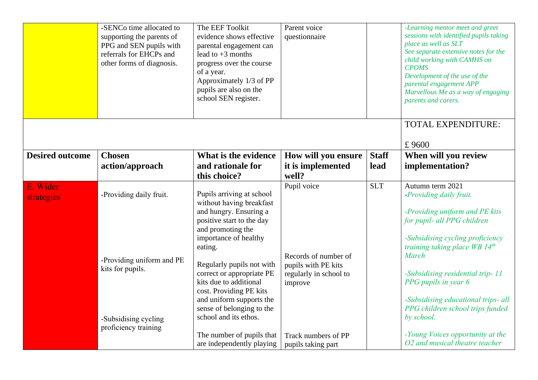|                        | -SENCo time allocated to<br>supporting the parents of<br>PPG and SEN pupils with<br>referrals for EHCPs and<br>other forms of diagnosis. | The EEF Toolkit<br>evidence shows effective<br>parental engagement can<br>lead to $+3$ months<br>progress over the course<br>of a year.<br>Approximately 1/3 of PP<br>pupils are also on the<br>school SEN register.                                                                                                                                                   | Parent voice<br>questionnaire                                                                   |              | -Learning mentor meet and greet<br>sessions with identified pupils taking<br>place as well as SLT<br>See separate extensive notes for the<br>child working with CAMHS on<br><b>CPOMS</b><br>Development of the use of the<br>parental engagement APP<br>Marvellous Me as a way of engaging<br>parents and carers.                                           |
|------------------------|------------------------------------------------------------------------------------------------------------------------------------------|------------------------------------------------------------------------------------------------------------------------------------------------------------------------------------------------------------------------------------------------------------------------------------------------------------------------------------------------------------------------|-------------------------------------------------------------------------------------------------|--------------|-------------------------------------------------------------------------------------------------------------------------------------------------------------------------------------------------------------------------------------------------------------------------------------------------------------------------------------------------------------|
|                        |                                                                                                                                          |                                                                                                                                                                                                                                                                                                                                                                        |                                                                                                 |              | TOTAL EXPENDITURE:<br>£9600                                                                                                                                                                                                                                                                                                                                 |
| <b>Desired outcome</b> | <b>Chosen</b>                                                                                                                            | What is the evidence                                                                                                                                                                                                                                                                                                                                                   | How will you ensure                                                                             | <b>Staff</b> | When will you review                                                                                                                                                                                                                                                                                                                                        |
|                        | action/approach                                                                                                                          | and rationale for                                                                                                                                                                                                                                                                                                                                                      | it is implemented                                                                               | lead         | implementation?                                                                                                                                                                                                                                                                                                                                             |
|                        |                                                                                                                                          | this choice?                                                                                                                                                                                                                                                                                                                                                           | well?                                                                                           |              |                                                                                                                                                                                                                                                                                                                                                             |
| E. Wider<br>strategies | -Providing daily fruit.<br>-Providing uniform and PE<br>kits for pupils.<br>-Subsidising cycling<br>proficiency training                 | Pupils arriving at school<br>without having breakfast<br>and hungry. Ensuring a<br>positive start to the day<br>and promoting the<br>importance of healthy<br>eating.<br>Regularly pupils not with<br>correct or appropriate PE<br>kits due to additional<br>cost. Providing PE kits<br>and uniform supports the<br>sense of belonging to the<br>school and its ethos. | Pupil voice<br>Records of number of<br>pupils with PE kits<br>regularly in school to<br>improve | <b>SLT</b>   | Autumn term 2021<br>-Providing daily fruit.<br>-Providing uniform and PE kits<br>for pupil- all PPG children<br>-Subsidising cycling proficiency<br>training taking place WB $14^{th}$<br><b>March</b><br>-Subsidising residential trip-11<br>PPG pupils in year 6<br>-Subsidising educational trips- all<br>PPG children school trips funded<br>by school. |
|                        |                                                                                                                                          | The number of pupils that<br>are independently playing                                                                                                                                                                                                                                                                                                                 | Track numbers of PP<br>pupils taking part                                                       |              | -Young Voices opportunity at the<br>O2 and musical theatre teacher                                                                                                                                                                                                                                                                                          |